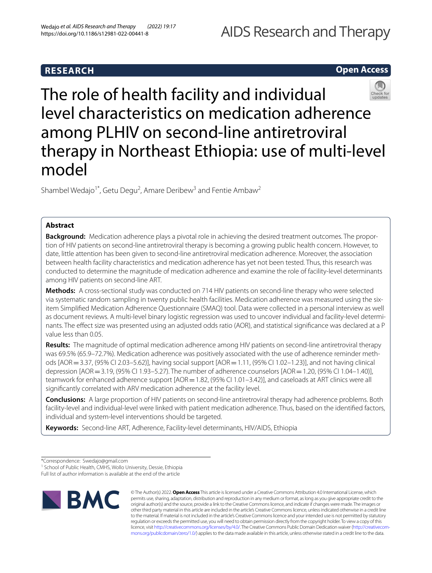# AIDS Research and Therapy

# **RESEARCH**

# **Open Access**



The role of health facility and individual level characteristics on medication adherence among PLHIV on second-line antiretroviral therapy in Northeast Ethiopia: use of multi-level model

Shambel Wedajo<sup>1\*</sup>, Getu Degu<sup>2</sup>, Amare Deribew<sup>3</sup> and Fentie Ambaw<sup>2</sup>

# **Abstract**

**Background:** Medication adherence plays a pivotal role in achieving the desired treatment outcomes. The proportion of HIV patients on second-line antiretroviral therapy is becoming a growing public health concern. However, to date, little attention has been given to second-line antiretroviral medication adherence. Moreover, the association between health facility characteristics and medication adherence has yet not been tested. Thus, this research was conducted to determine the magnitude of medication adherence and examine the role of facility-level determinants among HIV patients on second-line ART.

**Methods:** A cross-sectional study was conducted on 714 HIV patients on second-line therapy who were selected via systematic random sampling in twenty public health facilities. Medication adherence was measured using the sixitem Simplifed Medication Adherence Questionnaire (SMAQ) tool. Data were collected in a personal interview as well as document reviews. A multi-level binary logistic regression was used to uncover individual and facility-level determinants. The efect size was presented using an adjusted odds ratio (AOR), and statistical signifcance was declared at a P value less than 0.05.

**Results:** The magnitude of optimal medication adherence among HIV patients on second-line antiretroviral therapy was 69.5% (65.9–72.7%). Medication adherence was positively associated with the use of adherence reminder methods [AOR=3.37, (95% CI 2.03–5.62)], having social support [AOR=1.11, (95% CI 1.02–1.23)], and not having clinical depression [AOR = 3.19, (95% CI 1.93–5.27). The number of adherence counselors [AOR = 1.20, (95% CI 1.04–1.40)], teamwork for enhanced adherence support [AOR = 1.82, (95% CI 1.01–3.42)], and caseloads at ART clinics were all signifcantly correlated with ARV medication adherence at the facility level.

**Conclusions:** A large proportion of HIV patients on second-line antiretroviral therapy had adherence problems. Both facility-level and individual-level were linked with patient medication adherence. Thus, based on the identifed factors, individual and system-level interventions should be targeted.

**Keywords:** Second-line ART, Adherence, Facility-level determinants, HIV/AIDS, Ethiopia

Full list of author information is available at the end of the article



© The Author(s) 2022. **Open Access** This article is licensed under a Creative Commons Attribution 4.0 International License, which permits use, sharing, adaptation, distribution and reproduction in any medium or format, as long as you give appropriate credit to the original author(s) and the source, provide a link to the Creative Commons licence, and indicate if changes were made. The images or other third party material in this article are included in the article's Creative Commons licence, unless indicated otherwise in a credit line to the material. If material is not included in the article's Creative Commons licence and your intended use is not permitted by statutory regulation or exceeds the permitted use, you will need to obtain permission directly from the copyright holder. To view a copy of this licence, visit [http://creativecommons.org/licenses/by/4.0/.](http://creativecommons.org/licenses/by/4.0/) The Creative Commons Public Domain Dedication waiver ([http://creativecom](http://creativecommons.org/publicdomain/zero/1.0/)[mons.org/publicdomain/zero/1.0/\)](http://creativecommons.org/publicdomain/zero/1.0/) applies to the data made available in this article, unless otherwise stated in a credit line to the data.

<sup>\*</sup>Correspondence: Swedajo@gmail.com

<sup>&</sup>lt;sup>1</sup> School of Public Health, CMHS, Wollo University, Dessie, Ethiopia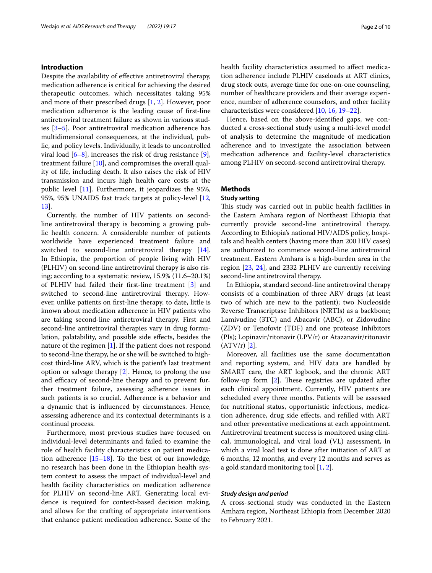# **Introduction**

Despite the availability of effective antiretroviral therapy, medication adherence is critical for achieving the desired therapeutic outcomes, which necessitates taking 95% and more of their prescribed drugs [[1,](#page-8-0) [2\]](#page-8-1). However, poor medication adherence is the leading cause of frst-line antiretroviral treatment failure as shown in various studies [[3–](#page-8-2)[5](#page-8-3)]. Poor antiretroviral medication adherence has multidimensional consequences, at the individual, public, and policy levels. Individually, it leads to uncontrolled viral load  $[6-8]$  $[6-8]$ , increases the risk of drug resistance  $[9]$  $[9]$ , treatment failure [\[10](#page-8-7)], and compromises the overall quality of life, including death. It also raises the risk of HIV transmission and incurs high health care costs at the public level [\[11](#page-8-8)]. Furthermore, it jeopardizes the 95%, 95%, 95% UNAIDS fast track targets at policy-level [\[12](#page-8-9), [13\]](#page-8-10).

Currently, the number of HIV patients on secondline antiretroviral therapy is becoming a growing public health concern. A considerable number of patients worldwide have experienced treatment failure and switched to second-line antiretroviral therapy [\[14](#page-8-11)]. In Ethiopia, the proportion of people living with HIV (PLHIV) on second-line antiretroviral therapy is also rising; according to a systematic review, 15.9% (11.6–20.1%) of PLHIV had failed their frst-line treatment [\[3](#page-8-2)] and switched to second-line antiretroviral therapy. However, unlike patients on frst-line therapy, to date, little is known about medication adherence in HIV patients who are taking second-line antiretroviral therapy. First and second-line antiretroviral therapies vary in drug formulation, palatability, and possible side efects, besides the nature of the regimen [\[1](#page-8-0)]. If the patient does not respond to second-line therapy, he or she will be switched to highcost third-line ARV, which is the patient's last treatment option or salvage therapy [[2\]](#page-8-1). Hence, to prolong the use and efficacy of second-line therapy and to prevent further treatment failure, assessing adherence issues in such patients is so crucial. Adherence is a behavior and a dynamic that is infuenced by circumstances. Hence, assessing adherence and its contextual determinants is a continual process.

Furthermore, most previous studies have focused on individual-level determinants and failed to examine the role of health facility characteristics on patient medication adherence [\[15](#page-8-12)[–18\]](#page-8-13). To the best of our knowledge, no research has been done in the Ethiopian health system context to assess the impact of individual-level and health facility characteristics on medication adherence for PLHIV on second-line ART. Generating local evidence is required for context-based decision making, and allows for the crafting of appropriate interventions that enhance patient medication adherence. Some of the health facility characteristics assumed to affect medication adherence include PLHIV caseloads at ART clinics, drug stock outs, average time for one-on-one counseling, number of healthcare providers and their average experience, number of adherence counselors, and other facility characteristics were considered [\[10](#page-8-7), [16](#page-8-14), [19–](#page-8-15)[22\]](#page-8-16).

Hence, based on the above-identifed gaps, we conducted a cross-sectional study using a multi-level model of analysis to determine the magnitude of medication adherence and to investigate the association between medication adherence and facility-level characteristics among PLHIV on second-second antiretroviral therapy.

# **Methods**

# **Study setting**

This study was carried out in public health facilities in the Eastern Amhara region of Northeast Ethiopia that currently provide second-line antiretroviral therapy. According to Ethiopia's national HIV/AIDS policy, hospitals and health centers (having more than 200 HIV cases) are authorized to commence second-line antiretroviral treatment. Eastern Amhara is a high-burden area in the region [\[23](#page-8-17), [24\]](#page-8-18), and 2332 PLHIV are currently receiving second-line antiretroviral therapy.

In Ethiopia, standard second-line antiretroviral therapy consists of a combination of three ARV drugs (at least two of which are new to the patient); two Nucleoside Reverse Transcriptase Inhibitors (NRTIs) as a backbone; Lamivudine (3TC) and Abacavir (ABC), or Zidovudine (ZDV) or Tenofovir (TDF) and one protease Inhibitors (PIs); Lopinavir/ritonavir (LPV/r) or Atazanavir/ritonavir  $(ATV/r)$  [[2\]](#page-8-1).

Moreover, all facilities use the same documentation and reporting system, and HIV data are handled by SMART care, the ART logbook, and the chronic ART follow-up form  $[2]$  $[2]$ . These registries are updated after each clinical appointment. Currently, HIV patients are scheduled every three months. Patients will be assessed for nutritional status, opportunistic infections, medication adherence, drug side efects, and reflled with ART and other preventative medications at each appointment. Antiretroviral treatment success is monitored using clinical, immunological, and viral load (VL) assessment, in which a viral load test is done after initiation of ART at 6 months, 12 months, and every 12 months and serves as a gold standard monitoring tool [[1,](#page-8-0) [2](#page-8-1)].

# *Study design and period*

A cross-sectional study was conducted in the Eastern Amhara region, Northeast Ethiopia from December 2020 to February 2021.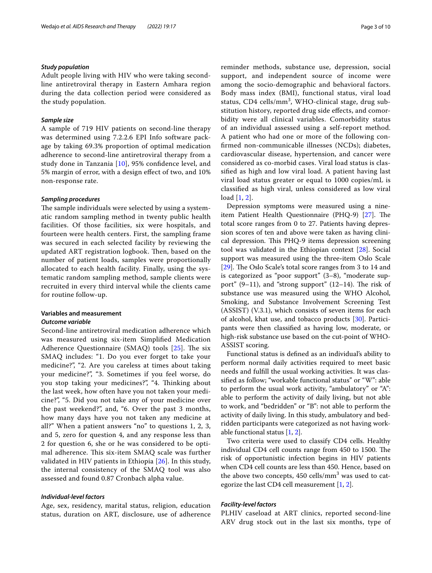### *Study population*

Adult people living with HIV who were taking secondline antiretroviral therapy in Eastern Amhara region during the data collection period were considered as the study population.

## *Sample size*

A sample of 719 HIV patients on second-line therapy was determined using 7.2.2.6 EPI Info software package by taking 69.3% proportion of optimal medication adherence to second-line antiretroviral therapy from a study done in Tanzania [[10\]](#page-8-7), 95% confdence level, and 5% margin of error, with a design efect of two, and 10% non-response rate.

#### *Sampling procedures*

The sample individuals were selected by using a systematic random sampling method in twenty public health facilities. Of those facilities, six were hospitals, and fourteen were health centers. First, the sampling frame was secured in each selected facility by reviewing the updated ART registration logbook. Then, based on the number of patient loads, samples were proportionally allocated to each health facility. Finally, using the systematic random sampling method, sample clients were recruited in every third interval while the clients came for routine follow-up.

# **Variables and measurement**

## *Outcome variable*

Second-line antiretroviral medication adherence which was measured using six-item Simplifed Medication Adherence Questionnaire (SMAQ) tools  $[25]$  $[25]$ . The six SMAQ includes: "1. Do you ever forget to take your medicine?", "2. Are you careless at times about taking your medicine?", "3. Sometimes if you feel worse, do you stop taking your medicines?", "4. Thinking about the last week, how often have you not taken your medicine?", "5. Did you not take any of your medicine over the past weekend?", and, "6. Over the past 3 months, how many days have you not taken any medicine at all?" When a patient answers "no" to questions 1, 2, 3, and 5, zero for question 4, and any response less than 2 for question 6, she or he was considered to be optimal adherence. This six-item SMAQ scale was further validated in HIV patients in Ethiopia [[26\]](#page-8-20). In this study, the internal consistency of the SMAQ tool was also assessed and found 0.87 Cronbach alpha value.

# *Individual‑level factors*

Age, sex, residency, marital status, religion, education status, duration on ART, disclosure, use of adherence reminder methods, substance use, depression, social support, and independent source of income were among the socio-demographic and behavioral factors. Body mass index (BMI), functional status, viral load status, CD4 cells/mm<sup>3</sup>, WHO-clinical stage, drug substitution history, reported drug side efects, and comorbidity were all clinical variables. Comorbidity status of an individual assessed using a self-report method. A patient who had one or more of the following confrmed non-communicable illnesses (NCDs); diabetes, cardiovascular disease, hypertension, and cancer were considered as co-morbid cases. Viral load status is classifed as high and low viral load. A patient having last viral load status greater or equal to 1000 copies/mL is classifed as high viral, unless considered as low viral load [[1,](#page-8-0) [2](#page-8-1)].

Depression symptoms were measured using a nineitem Patient Health Questionnaire (PHQ-9)  $[27]$  $[27]$ . The total score ranges from 0 to 27. Patients having depression scores of ten and above were taken as having clinical depression. This PHQ-9 items depression screening tool was validated in the Ethiopian context [[28\]](#page-8-22). Social support was measured using the three**-**item Oslo Scale [[29\]](#page-9-0). The Oslo Scale's total score ranges from 3 to 14 and is categorized as "poor support" (3–8), "moderate support"  $(9-11)$ , and "strong support"  $(12-14)$ . The risk of substance use was measured using the WHO Alcohol, Smoking, and Substance Involvement Screening Test (ASSIST) (V.3.1), which consists of seven items for each of alcohol, khat use, and tobacco products [\[30](#page-9-1)]. Participants were then classifed as having low, moderate, or high-risk substance use based on the cut-point of WHO-ASSIST scoring.

Functional status is defned as an individual's ability to perform normal daily activities required to meet basic needs and fulfll the usual working activities. It was classifed as follow; "workable functional status" or "W": able to perform the usual work activity, "ambulatory" or "A": able to perform the activity of daily living, but not able to work, and "bedridden" or "B": not able to perform the activity of daily living. In this study, ambulatory and bedridden participants were categorized as not having workable functional status [\[1,](#page-8-0) [2](#page-8-1)].

Two criteria were used to classify CD4 cells. Healthy individual CD4 cell counts range from 450 to 1500. The risk of opportunistic infection begins in HIV patients when CD4 cell counts are less than 450. Hence, based on the above two concepts,  $450$  cells/mm<sup>3</sup> was used to categorize the last CD4 cell measurement [[1](#page-8-0), [2\]](#page-8-1).

# *Facility‑level factors*

PLHIV caseload at ART clinics, reported second-line ARV drug stock out in the last six months, type of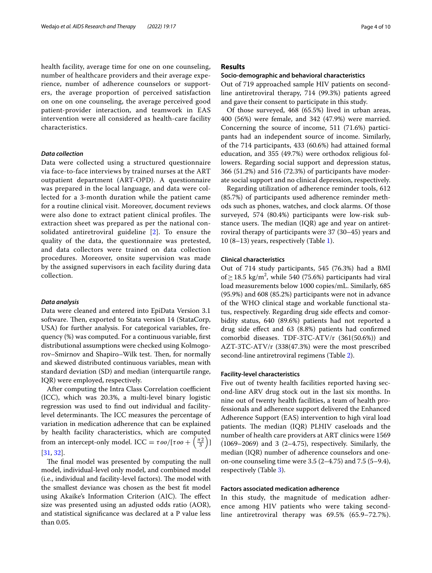health facility, average time for one on one counseling, number of healthcare providers and their average experience, number of adherence counselors or supporters, the average proportion of perceived satisfaction on one on one counseling, the average perceived good patient-provider interaction, and teamwork in EAS intervention were all considered as health-care facility characteristics.

### *Data collection*

Data were collected using a structured questionnaire via face-to-face interviews by trained nurses at the ART outpatient department (ART-OPD). A questionnaire was prepared in the local language, and data were collected for a 3-month duration while the patient came for a routine clinical visit. Moreover, document reviews were also done to extract patient clinical profiles. The extraction sheet was prepared as per the national consolidated antiretroviral guideline [\[2](#page-8-1)]. To ensure the quality of the data, the questionnaire was pretested, and data collectors were trained on data collection procedures. Moreover, onsite supervision was made by the assigned supervisors in each facility during data collection.

### *Data analysis*

Data were cleaned and entered into EpiData Version 3.1 software. Then, exported to Stata version 14 (StataCorp, USA) for further analysis. For categorical variables, frequency (%) was computed. For a continuous variable, frst distributional assumptions were checked using Kolmogorov–Smirnov and Shapiro–Wilk test. Then, for normally and skewed distributed continuous variables, mean with standard deviation (SD) and median (interquartile range, IQR) were employed, respectively.

After computing the Intra Class Correlation coefficient (ICC), which was 20.3%, a multi-level binary logistic regression was used to fnd out individual and facilitylevel determinants. The ICC measures the percentage of variation in medication adherence that can be explained by health facility characteristics, which are computed from an intercept-only model. ICC =  $\tau o o / [\tau o o + \left(\frac{\pi 2}{3}\right)]$ [[31,](#page-9-2) [32](#page-9-3)].

The final model was presented by computing the null model, individual-level only model, and combined model (i.e., individual and facility-level factors). The model with the smallest deviance was chosen as the best ft model using Akaike's Information Criterion (AIC). The effect size was presented using an adjusted odds ratio (AOR), and statistical signifcance was declared at a P value less than 0.05.

# **Results**

# **Socio‑demographic and behavioral characteristics**

Out of 719 approached sample HIV patients on secondline antiretroviral therapy, 714 (99.3%) patients agreed and gave their consent to participate in this study.

Of those surveyed, 468 (65.5%) lived in urban areas, 400 (56%) were female, and 342 (47.9%) were married. Concerning the source of income, 511 (71.6%) participants had an independent source of income. Similarly, of the 714 participants, 433 (60.6%) had attained formal education, and 355 (49.7%) were orthodox religious followers. Regarding social support and depression status, 366 (51.2%) and 516 (72.3%) of participants have moderate social support and no clinical depression, respectively.

Regarding utilization of adherence reminder tools, 612 (85.7%) of participants used adherence reminder methods such as phones, watches, and clock alarms. Of those surveyed, 574 (80.4%) participants were low-risk substance users. The median  $(IQR)$  age and year on antiretroviral therapy of participants were 37 (30–45) years and 10 (8–13) years, respectively (Table [1\)](#page-4-0).

# **Clinical characteristics**

Out of 714 study participants, 545 (76.3%) had a BMI of  $\geq$  18.5 kg/m<sup>2</sup>, while 540 (75.6%) participants had viral load measurements below 1000 copies/mL. Similarly, 685 (95.9%) and 608 (85.2%) participants were not in advance of the WHO clinical stage and workable functional status, respectively. Regarding drug side efects and comorbidity status, 640 (89.6%) patients had not reported a drug side efect and 63 (8.8%) patients had confrmed comorbid diseases. TDF-3TC-ATV/r (361(50.6%)) and AZT-3TC-ATV/r (338(47.3%) were the most prescribed second-line antiretroviral regimens (Table [2](#page-5-0)).

# **Facility‑level characteristics**

Five out of twenty health facilities reported having second-line ARV drug stock out in the last six months. In nine out of twenty health facilities, a team of health professionals and adherence support delivered the Enhanced Adherence Support (EAS) intervention to high viral load patients. The median (IQR) PLHIV caseloads and the number of health care providers at ART clinics were 1569  $(1069-2069)$  and 3  $(2-4.75)$ , respectively. Similarly, the median (IQR) number of adherence counselors and oneon-one counseling time were  $3.5 (2 - 4.75)$  and  $7.5 (5 - 9.4)$ , respectively (Table [3](#page-5-1)).

# **Factors associated medication adherence**

In this study, the magnitude of medication adherence among HIV patients who were taking secondline antiretroviral therapy was 69.5% (65.9–72.7%).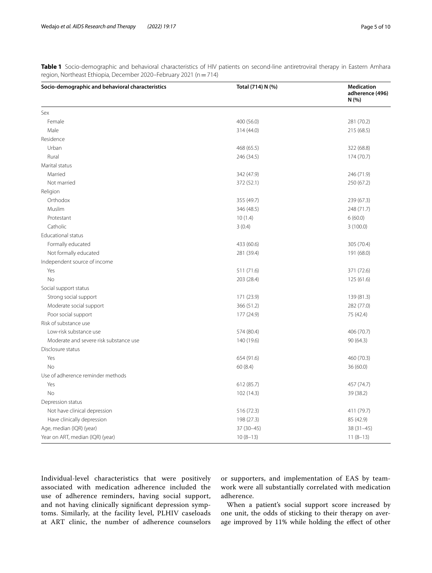<span id="page-4-0"></span>

| Table 1 Socio-demographic and behavioral characteristics of HIV patients on second-line antiretroviral therapy in Eastern Amhara |  |  |  |  |
|----------------------------------------------------------------------------------------------------------------------------------|--|--|--|--|
| region, Northeast Ethiopia, December 2020–February 2021 (n = 714)                                                                |  |  |  |  |

| Socio-demographic and behavioral characteristics | Total (714) N (%) | <b>Medication</b><br>adherence (496)<br>N(% ) |
|--------------------------------------------------|-------------------|-----------------------------------------------|
| Sex                                              |                   |                                               |
| Female                                           | 400 (56.0)        | 281 (70.2)                                    |
| Male                                             | 314 (44.0)        | 215 (68.5)                                    |
| Residence                                        |                   |                                               |
| Urban                                            | 468 (65.5)        | 322 (68.8)                                    |
| Rural                                            | 246 (34.5)        | 174 (70.7)                                    |
| Marital status                                   |                   |                                               |
| Married                                          | 342 (47.9)        | 246 (71.9)                                    |
| Not married                                      | 372 (52.1)        | 250 (67.2)                                    |
| Religion                                         |                   |                                               |
| Orthodox                                         | 355 (49.7)        | 239 (67.3)                                    |
| Muslim                                           | 346 (48.5)        | 248 (71.7)                                    |
| Protestant                                       | 10(1.4)           | 6(60.0)                                       |
| Catholic                                         | 3(0.4)            | 3(100.0)                                      |
| Educational status                               |                   |                                               |
| Formally educated                                | 433 (60.6)        | 305 (70.4)                                    |
| Not formally educated                            | 281 (39.4)        | 191 (68.0)                                    |
| Independent source of income                     |                   |                                               |
| Yes                                              | 511 (71.6)        | 371 (72.6)                                    |
| No                                               | 203 (28.4)        | 125(61.6)                                     |
| Social support status                            |                   |                                               |
| Strong social support                            | 171 (23.9)        | 139 (81.3)                                    |
| Moderate social support                          | 366 (51.2)        | 282 (77.0)                                    |
| Poor social support                              | 177 (24.9)        | 75 (42.4)                                     |
| Risk of substance use                            |                   |                                               |
| Low-risk substance use                           | 574 (80.4)        | 406 (70.7)                                    |
| Moderate and severe risk substance use           | 140 (19.6)        | 90 (64.3)                                     |
| Disclosure status                                |                   |                                               |
| Yes                                              | 654 (91.6)        | 460 (70.3)                                    |
| <b>No</b>                                        | 60(8.4)           | 36 (60.0)                                     |
| Use of adherence reminder methods                |                   |                                               |
| Yes                                              | 612 (85.7)        | 457 (74.7)                                    |
| No                                               | 102 (14.3)        | 39 (38.2)                                     |
| Depression status                                |                   |                                               |
| Not have clinical depression                     | 516 (72.3)        | 411 (79.7)                                    |
| Have clinically depression                       | 198 (27.3)        | 85 (42.9)                                     |
| Age, median (IQR) (year)                         | 37 (30-45)        | $38(31-45)$                                   |
| Year on ART, median (IQR) (year)                 | $10(8-13)$        | $11(8-13)$                                    |

Individual-level characteristics that were positively associated with medication adherence included the use of adherence reminders, having social support, and not having clinically signifcant depression symptoms. Similarly, at the facility level, PLHIV caseloads at ART clinic, the number of adherence counselors or supporters, and implementation of EAS by teamwork were all substantially correlated with medication adherence.

When a patient's social support score increased by one unit, the odds of sticking to their therapy on average improved by 11% while holding the efect of other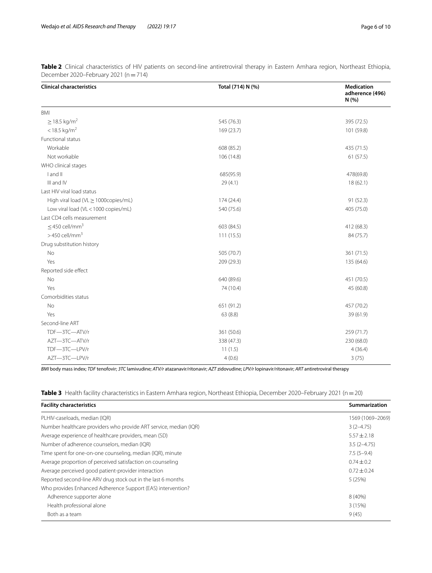| <b>Clinical characteristics</b>      | Total (714) N (%) | <b>Medication</b><br>adherence (496)<br>N(% ) |
|--------------------------------------|-------------------|-----------------------------------------------|
| <b>BMI</b>                           |                   |                                               |
| $\geq$ 18.5 kg/m <sup>2</sup>        | 545 (76.3)        | 395 (72.5)                                    |
| $<$ 18.5 kg/m <sup>2</sup>           | 169 (23.7)        | 101 (59.8)                                    |
| Functional status                    |                   |                                               |
| Workable                             | 608 (85.2)        | 435 (71.5)                                    |
| Not workable                         | 106 (14.8)        | 61(57.5)                                      |
| WHO clinical stages                  |                   |                                               |
| I and II                             | 685(95.9)         | 478(69.8)                                     |
| III and IV                           | 29(4.1)           | 18(62.1)                                      |
| Last HIV viral load status           |                   |                                               |
| High viral load (VL > 1000copies/mL) | 174 (24.4)        | 91 (52.3)                                     |
| Low viral load (VL < 1000 copies/mL) | 540 (75.6)        | 405 (75.0)                                    |
| Last CD4 cells measurement           |                   |                                               |
| $\leq$ 450 cell/mm <sup>3</sup>      | 603 (84.5)        | 412 (68.3)                                    |
| $>450$ cell/mm <sup>3</sup>          | 111(15.5)         | 84 (75.7)                                     |
| Drug substitution history            |                   |                                               |
| No                                   | 505 (70.7)        | 361 (71.5)                                    |
| Yes                                  | 209 (29.3)        | 135 (64.6)                                    |
| Reported side effect                 |                   |                                               |
| No                                   | 640 (89.6)        | 451 (70.5)                                    |
| Yes                                  | 74 (10.4)         | 45 (60.8)                                     |
| Comorbidities status                 |                   |                                               |
| No                                   | 651 (91.2)        | 457 (70.2)                                    |
| Yes                                  | 63(8.8)           | 39 (61.9)                                     |
| Second-line ART                      |                   |                                               |
| TDF-3TC-ATV/r                        | 361 (50.6)        | 259 (71.7)                                    |
| AZT-3TC-ATV/r                        | 338 (47.3)        | 230 (68.0)                                    |
| TDF-3TC-LPV/r                        | 11(1.5)           | 4(36.4)                                       |
| AZT-3TC-LPV/r                        | 4(0.6)            | 3(75)                                         |

<span id="page-5-0"></span>**Table 2** Clinical characteristics of HIV patients on second-line antiretroviral therapy in Eastern Amhara region, Northeast Ethiopia, December 2020–February 2021 (n=714)

*BMI* body mass index; *TDF* tenofovir; *3TC* lamivudine; *ATV/r* atazanavir/ritonavir; *AZT* zidovudine; *LPV/r* lopinavir/ritonavir; *ART* antiretroviral therapy

<span id="page-5-1"></span>

| Table 3 Health facility characteristics in Eastern Amhara region, Northeast Ethiopia, December 2020–February 2021 (n = 20) |  |
|----------------------------------------------------------------------------------------------------------------------------|--|
|----------------------------------------------------------------------------------------------------------------------------|--|

| <b>Facility characteristics</b>                                   | Summarization    |
|-------------------------------------------------------------------|------------------|
| PLHIV-caseloads, median (IQR)                                     | 1569 (1069-2069) |
| Number healthcare providers who provide ART service, median (IQR) | $3(2-4.75)$      |
| Average experience of healthcare providers, mean (SD)             | $5.57 + 2.18$    |
| Number of adherence counselors, median (IQR)                      | $3.5(2 - 4.75)$  |
| Time spent for one-on-one counseling, median (IQR), minute        | $7.5(5-9.4)$     |
| Average proportion of perceived satisfaction on counseling        | $0.74 + 0.2$     |
| Average perceived good patient-provider interaction               | $0.72 + 0.24$    |
| Reported second-line ARV drug stock out in the last 6 months      | 5(25%)           |
| Who provides Enhanced Adherence Support (EAS) intervention?       |                  |
| Adherence supporter alone                                         | 8 (40%)          |
| Health professional alone                                         | 3(15%)           |
| Both as a team                                                    | 9(45)            |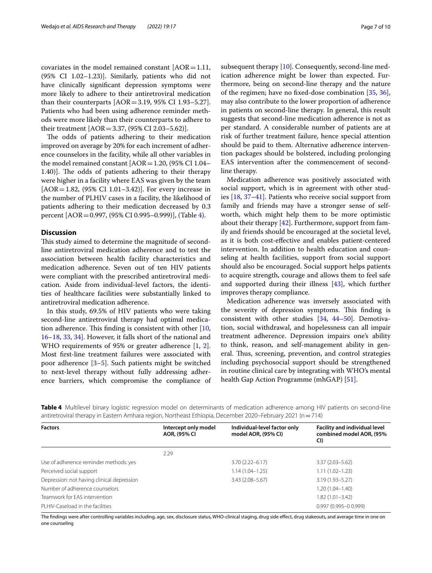covariates in the model remained constant  $[AOR=1.11]$ , (95% CI 1.02–1.23)]. Similarly, patients who did not have clinically signifcant depression symptoms were more likely to adhere to their antiretroviral medication than their counterparts  $[AOR = 3.19, 95\% \text{ CI } 1.93 - 5.27]$ . Patients who had been using adherence reminder methods were more likely than their counterparts to adhere to their treatment [AOR=3.37, (95% CI 2.03–5.62)].

The odds of patients adhering to their medication improved on average by 20% for each increment of adherence counselors in the facility, while all other variables in the model remained constant  $[AOR=1.20, (95% CI 1.04–$ 1.40)]. The odds of patients adhering to their therapy were higher in a facility where EAS was given by the team [AOR=1.82, (95% CI 1.01–3.42)]. For every increase in the number of PLHIV cases in a facility, the likelihood of patients adhering to their medication decreased by 0.3 percent [AOR=0.997, (95% CI 0.995–0.999)], (Table [4](#page-6-0)).

# **Discussion**

This study aimed to determine the magnitude of secondline antiretroviral medication adherence and to test the association between health facility characteristics and medication adherence. Seven out of ten HIV patients were compliant with the prescribed antiretroviral medication. Aside from individual-level factors, the identities of healthcare facilities were substantially linked to antiretroviral medication adherence.

In this study, 69.5% of HIV patients who were taking second-line antiretroviral therapy had optimal medication adherence. This finding is consistent with other  $[10, 10]$  $[10, 10]$ [16–](#page-8-14)[18](#page-8-13), [33](#page-9-4), [34\]](#page-9-5). However, it falls short of the national and WHO requirements of 95% or greater adherence [\[1](#page-8-0), [2](#page-8-1)]. Most frst-line treatment failures were associated with poor adherence [[3–](#page-8-2)[5](#page-8-3)]. Such patients might be switched to next-level therapy without fully addressing adherence barriers, which compromise the compliance of subsequent therapy [[10](#page-8-7)]. Consequently, second-line medication adherence might be lower than expected. Furthermore, being on second-line therapy and the nature of the regimen; have no fxed-dose combination [\[35](#page-9-6), [36](#page-9-7)], may also contribute to the lower proportion of adherence in patients on second-line therapy. In general, this result suggests that second-line medication adherence is not as per standard. A considerable number of patients are at risk of further treatment failure, hence special attention should be paid to them. Alternative adherence intervention packages should be bolstered, including prolonging EAS intervention after the commencement of secondline therapy.

Medication adherence was positively associated with social support, which is in agreement with other studies [[18](#page-8-13), [37](#page-9-8)[–41](#page-9-9)]. Patients who receive social support from family and friends may have a stronger sense of selfworth, which might help them to be more optimistic about their therapy  $[42]$  $[42]$ . Furthermore, support from family and friends should be encouraged at the societal level, as it is both cost-efective and enables patient-centered intervention. In addition to health education and counseling at health facilities, support from social support should also be encouraged. Social support helps patients to acquire strength, courage and allows them to feel safe and supported during their illness [\[43](#page-9-11)], which further improves therapy compliance.

Medication adherence was inversely associated with the severity of depression symptoms. This finding is consistent with other studies [[34](#page-9-5), [44](#page-9-12)–[50\]](#page-9-13). Demotivation, social withdrawal, and hopelessness can all impair treatment adherence. Depression impairs one's ability to think, reason, and self-management ability in general. Thus, screening, prevention, and control strategies including psychosocial support should be strengthened in routine clinical care by integrating with WHO's mental health Gap Action Programme (mhGAP) [\[51\]](#page-9-14).

<span id="page-6-0"></span>**Table 4** Multilevel binary logistic regression model on determinants of medication adherence among HIV patients on second-line antiretroviral therapy in Eastern Amhara region, Northeast Ethiopia, December 2020–February 2021 (n=714)

| <b>Factors</b>                             | Intercept only model<br>AOR, (95% CI | Individual-level factor only<br>model AOR, (95% CI) | <b>Facility and individual level</b><br>combined model AOR, (95%<br>CI) |
|--------------------------------------------|--------------------------------------|-----------------------------------------------------|-------------------------------------------------------------------------|
|                                            | 2.29                                 |                                                     |                                                                         |
| Use of adherence reminder methods: yes     |                                      | $3.70(2.22 - 6.17)$                                 | $3.37(2.03 - 5.62)$                                                     |
| Perceived social support                   |                                      | $1.14(1.04 - 1.25)$                                 | $1.11(1.02 - 1.23)$                                                     |
| Depression: not having clinical depression |                                      | $3.43(2.08 - 5.67)$                                 | $3.19(1.93 - 5.27)$                                                     |
| Number of adherence counselors             |                                      |                                                     | $1.20(1.04 - 1.40)$                                                     |
| Teamwork for EAS intervention              |                                      |                                                     | $1.82(1.01 - 3.42)$                                                     |
| PLHIV-Caseload in the facilities           |                                      |                                                     | $0.997(0.995 - 0.999)$                                                  |

The findings were after controlling variables including, age, sex, disclosure status, WHO-clinical staging, drug side effect, drug stakeouts, and average time in one on one counseling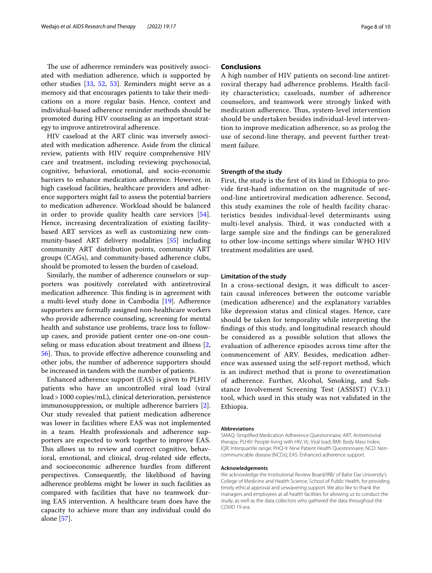The use of adherence reminders was positively associated with mediation adherence, which is supported by other studies [[33,](#page-9-4) [52](#page-9-15), [53](#page-9-16)]. Reminders might serve as a memory aid that encourages patients to take their medications on a more regular basis. Hence, context and individual-based adherence reminder methods should be promoted during HIV counseling as an important strategy to improve antiretroviral adherence.

HIV caseload at the ART clinic was inversely associated with medication adherence. Aside from the clinical review, patients with HIV require comprehensive HIV care and treatment, including reviewing psychosocial, cognitive, behavioral, emotional, and socio-economic barriers to enhance medication adherence. However, in high caseload facilities, healthcare providers and adherence supporters might fail to assess the potential barriers to medication adherence. Workload should be balanced in order to provide quality health care services [\[54](#page-9-17)]. Hence, increasing decentralization of existing facilitybased ART services as well as customizing new community-based ART delivery modalities [\[55](#page-9-18)] including community ART distribution points, community ART groups (CAGs), and community-based adherence clubs, should be promoted to lessen the burden of caseload.

Similarly, the number of adherence counselors or supporters was positively correlated with antiretroviral medication adherence. This finding is in agreement with a multi-level study done in Cambodia [[19\]](#page-8-15). Adherence supporters are formally assigned non-healthcare workers who provide adherence counseling, screening for mental health and substance use problems, trace loss to followup cases, and provide patient center one-on-one counseling or mass education about treatment and illness [\[2](#page-8-1), [56\]](#page-9-19). Thus, to provide effective adherence counseling and other jobs, the number of adherence supporters should be increased in tandem with the number of patients.

Enhanced adherence support (EAS) is given to PLHIV patients who have an uncontrolled viral load (viral load>1000 copies/mL), clinical deterioration, persistence immunosuppression, or multiple adherence barriers [\[2](#page-8-1)]. Our study revealed that patient medication adherence was lower in facilities where EAS was not implemented in a team. Health professionals and adherence supporters are expected to work together to improve EAS. This allows us to review and correct cognitive, behavioral, emotional, and clinical, drug-related side effects, and socioeconomic adherence hurdles from diferent perspectives. Consequently, the likelihood of having adherence problems might be lower in such facilities as compared with facilities that have no teamwork during EAS intervention. A healthcare team does have the capacity to achieve more than any individual could do alone [\[57](#page-9-20)].

# **Conclusions**

A high number of HIV patients on second-line antiretroviral therapy had adherence problems. Health facility characteristics; caseloads, number of adherence counselors, and teamwork were strongly linked with medication adherence. Thus, system-level intervention should be undertaken besides individual-level intervention to improve medication adherence, so as prolog the use of second-line therapy, and prevent further treatment failure.

## **Strength of the study**

First, the study is the frst of its kind in Ethiopia to provide frst-hand information on the magnitude of second-line antiretroviral medication adherence. Second, this study examines the role of health facility characteristics besides individual-level determinants using multi-level analysis. Third, it was conducted with a large sample size and the fndings can be generalized to other low-income settings where similar WHO HIV treatment modalities are used.

# **Limitation of the study**

In a cross-sectional design, it was difficult to ascertain causal inferences between the outcome variable (medication adherence) and the explanatory variables like depression status and clinical stages. Hence, care should be taken for temporality while interpreting the fndings of this study, and longitudinal research should be considered as a possible solution that allows the evaluation of adherence episodes across time after the commencement of ARV. Besides, medication adherence was assessed using the self-report method, which is an indirect method that is prone to overestimation of adherence. Further, Alcohol, Smoking, and Substance Involvement Screening Test (ASSIST) (V.3.1) tool, which used in this study was not validated in the Ethiopia.

#### **Abbreviations**

SMAQ: Simplifed Medication Adherence Questionnaire; ART: Antiretroviral therapy; PLHIV: People living with HIV; VL: Viral load; BMI: Body Mass Index; IQR: Interquartile range; PHQ-9: Nine Patient Health Questionnaire; NCD: Noncommunicable disease (NCDs); EAS: Enhanced adherence support.

#### **Acknowledgements**

We acknowledge the Institutional Review Board/IRB/ of Bahir Dar University's College of Medicine and Health Science, School of Public Health, for providing timely ethical approval and unwavering support. We also like to thank the managers and employees at all health facilities for allowing us to conduct the study, as well as the data collectors who gathered the data throughout the COVID 19 era.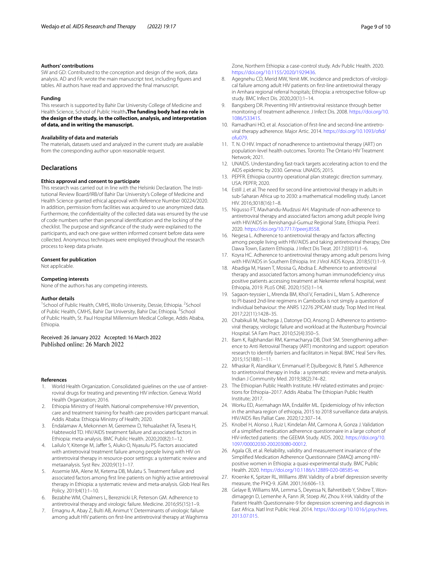## **Authors' contributions**

SW and GD: Contributed to the conception and design of the work, data analysis. AD and FA: wrote the main manuscript text, including fgures and tables. All authors have read and approved the fnal manuscript.

#### **Funding**

This research is supported by Bahir Dar University College of Medicine and Health Science, School of Public Health**.The funding body had no role in the design of the study, in the collection, analysis, and interpretation of data, and in writing the manuscript.**

#### **Availability of data and materials**

The materials, datasets used and analyzed in the current study are available from the corresponding author upon reasonable request.

#### **Declarations**

#### **Ethics approval and consent to participate**

This research was carried out in line with the Helsinki Declaration. The Institutional Review Board/IRB/of Bahir Dar University's College of Medicine and Health Science granted ethical approval with Reference Number 00224/2020. In addition, permission from facilities was acquired to use anonymized data. Furthermore, the confdentiality of the collected data was ensured by the use of code numbers rather than personal identifcation and the locking of the checklist. The purpose and signifcance of the study were explained to the participants, and each one gave written informed consent before data were collected. Anonymous techniques were employed throughout the research process to keep data private.

#### **Consent for publication**

Not applicable.

#### **Competing interests**

None of the authors has any competing interests.

#### **Author details**

<sup>1</sup> School of Public Health, CMHS, Wollo University, Dessie, Ethiopia. <sup>2</sup> School of Public Health, CMHS, Bahir Dar University, Bahir Dar, Ethiopia. <sup>3</sup>School of Public Health, St. Paul Hospital Millennium Medical College, Addis Ababa, Ethiopia.

Received: 26 January 2022 Accepted: 16 March 2022

#### **References**

- <span id="page-8-0"></span>1. World Health Organization. Consolidated guielines on the use of antiretroviral drugs for treating and preventing HIV infection. Geneva: World Health Organization; 2016.
- <span id="page-8-1"></span>2. Ethiopia Ministry of Health. National comprehensive HIV prevention, care and treatment training for health care providers participant manual. Addis Ababa: Ethiopia Ministry of Health; 2020.
- <span id="page-8-2"></span>3. Endalamaw A, Mekonnen M, Geremew D, Yehualashet FA, Tesera H, Habtewold TD. HIV/AIDS treatment failure and associated factors in Ethiopia: meta-analysis. BMC Public Health. 2020;20(82):1–12.
- 4. Lailulo Y, Kitenge M, Jaffer S, Aluko O, Nyasulu PS. Factors associated with antiretroviral treatment failure among people living with HIV on antiretroviral therapy in resource-poor settings: a systematic review and metaanalysis. Syst Rev. 2020;9(1):1–17.
- <span id="page-8-3"></span>5. Assemie MA, Alene M, Ketema DB, Mulatu S. Treatment failure and associated factors among frst line patients on highly active antiretroviral therapy in Ethiopia: a systematic review and meta-analysis. Glob Heal Res Policy. 2019;4(1):1–10.
- <span id="page-8-4"></span>6. Bezabhe WM, Chalmers L, Bereznicki LR, Peterson GM. Adherence to antiretroviral therapy and virologic failure. Medicine. 2016;95(15):1–9.
- 7. Emagnu A, Abay Z, Bulti AB, Animut Y. Determinants of virologic failure among adult HIV patients on frst-line antiretroviral therapy at Waghimra

Zone, Northern Ethiopia: a case-control study. Adv Public Health. 2020. <https://doi.org/10.1155/2020/1929436>.

- <span id="page-8-5"></span>8. Agegnehu CD, Merid MW, Yenit MK. Incidence and predictors of virological failure among adult HIV patients on frst-line antiretroviral therapy in Amhara regional referral hospitals; Ethiopia: a retrospective follow-up study. BMC Infect Dis. 2020;20(1):1–14.
- <span id="page-8-6"></span>9. Bangsberg DR. Preventing HIV antiretroviral resistance through better monitoring of treatment adherence. J Infect Dis. 2008. [https://doi.org/10.](https://doi.org/10.1086/533415) [1086/533415.](https://doi.org/10.1086/533415)
- <span id="page-8-7"></span>10. Ramadhani HO, et al. Association of frst-line and second-line antiretroviral therapy adherence. Major Artic. 2014. [https://doi.org/10.1093/ofd/](https://doi.org/10.1093/ofid/ofu079) [ofu079.](https://doi.org/10.1093/ofid/ofu079)
- <span id="page-8-8"></span>11. T. N. O HIV. Impact of nonadherence to antiretroviral therapy (ART) on population-level health outcomes. Toronto: The Ontario HIV Treatment Network; 2021.
- <span id="page-8-9"></span>12. UNAIDS. Understanding fast-track targets accelerating action to end the AIDS epidemic by 2030. Geneva: UNAIDS; 2015.
- <span id="page-8-10"></span>13. PEPFR. Ethiopia country operational plan strategic direction summary. USA: PEPFR; 2020.
- <span id="page-8-11"></span>14. Estill J, et al. The need for second-line antiretroviral therapy in adults in sub-Saharan Africa up to 2030: a mathematical modelling study. Lancet HIV. 2016;3018(16):1–8.
- <span id="page-8-12"></span>15. Nigusso FT, Mavhandu-Mudzusi AH. Magnitude of non-adherence to antiretroviral therapy and associated factors among adult people living with HIV/AIDS in Benishangul-Gumuz Regional State, Ethiopia. PeerJ. 2020.<https://doi.org/10.7717/peerj.8558>.
- <span id="page-8-14"></span>16. Negesa L. Adherence to antiretroviral therapy and factors afecting among people living with HIV/AIDS and taking antiretroviral therapy, Dire Dawa Town, Eastern Ethiopia. J Infect Dis Treat. 2017;03(01):1–6.
- 17. Koyra HC. Adherence to antiretroviral therapy among adult persons living with HIV/AIDS in Southern Ethiopia. Int J Virol AIDS Koyra. 2018;5(1):1–9.
- <span id="page-8-13"></span>18. Abadiga M, Hasen T, Mosisa G, Abdisa E. Adherence to antiretroviral therapy and associated factors among human immunodefciency virus positive patients accessing treatment at Nekemte referral hospital, west Ethiopia, 2019. PLoS ONE. 2020;15(5):1–14.
- <span id="page-8-15"></span>19. Sagaon-teyssier L, Mrenda BM, Khol V, Ferradini L, Mam S. Adherence to PI-based 2nd-line regimens in Cambodia is not simply a question of individual behaviour: the ANRS 12276 2PICAM study. Trop Med Int Heal. 2017;22(11):1428–35.
- 20. Chabikuli M, Nachega J, Datonye DO, Ansong D. Adherence to antiretroviral therapy, virologic failure and workload at the Rustenburg Provincial Hospital. SA Fam Pract. 2010;52(4):350–5.
- 21. Bam K, Rajbhandari RM, Karmacharya DB, Dixit SM. Strengthening adherence to Anti Retroviral Therapy (ART) monitoring and support: operation research to identify barriers and facilitators in Nepal. BMC Heal Serv Res. 2015;15(188):1–11.
- <span id="page-8-16"></span>22. Mhaskar R, Alandikar V, Emmanuel P, Djulbegovic B, Patel S. Adherence to antiretroviral therapy in India : a systematic review and meta-analysis. Indian J Community Med. 2019;38(2):74–82.
- <span id="page-8-17"></span>23. The Ethiopian Public Health Institute. HIV related estimates and projections for Ethiopia–2017. Addis Ababa: The Ethiopian Public Health Institute; 2017.
- <span id="page-8-18"></span>24. Worku ED, Asemahagn MA, Endalifer ML. Epidemiology of hiv infection in the amhara region of ethiopia, 2015 to 2018 surveillance data analysis. HIV/AIDS Res Palliat Care. 2020;12:307–14.
- <span id="page-8-19"></span>25. Knobel H, Alonso J, Ruiz I, Kindelan ÂM, Carmona A, Gonza J. Validation of a simplifed medication adherence questionnaire in a large cohort of HIV-infected patients : the GEEMA Study. AIDS. 2002. [https://doi.org/10.](https://doi.org/10.1097/00002030-200203080-00012) [1097/00002030-200203080-00012.](https://doi.org/10.1097/00002030-200203080-00012)
- <span id="page-8-20"></span>26. Agala CB, et al. Reliability, validity and measurement invariance of the Simplifed Medication Adherence Questionnaire (SMAQ) among HIVpositive women in Ethiopia: a quasi-experimental study. BMC Public Health. 2020. [https://doi.org/10.1186/s12889-020-08585-w.](https://doi.org/10.1186/s12889-020-08585-w)
- <span id="page-8-21"></span>27. Kroenke K, Spitzer RL, Williams JBW. Validity of a brief depression severity measure, the PHQ-9. JGIM. 2001;16:606–13.
- <span id="page-8-22"></span>28. Gelaye B, Williams MA, Lemma S, Deyessa N, Bahretibeb Y, Shibre T, Wondimagegn D, Lemenhe A, Fann JR, Stoep AV, Zhou X-HA. Validity of the Patient Health Questionnaire-9 for depression screening and diagnosis in East Africa. Natl Inst Public Heal. 2014. [https://doi.org/10.1016/j.psychres.](https://doi.org/10.1016/j.psychres.2013.07.015) [2013.07.015](https://doi.org/10.1016/j.psychres.2013.07.015).